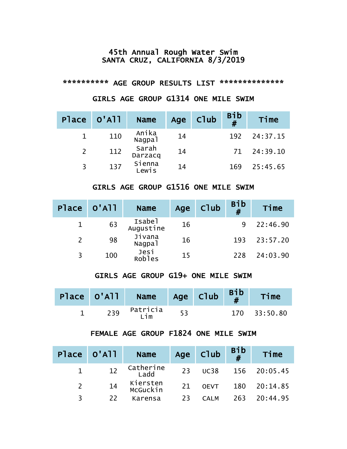#### 45th Annual Rough Water Swim SANTA CRUZ, CALIFORNIA 8/3/2019

#### \*\*\*\*\*\*\*\*\*\* AGE GROUP RESULTS LIST \*\*\*\*\*\*\*\*\*\*\*\*\*\*

# GIRLS AGE GROUP G1314 ONE MILE SWIM

|   | Place 0'All | <b>Name</b>      | Age | Club | Bib<br># | Time     |
|---|-------------|------------------|-----|------|----------|----------|
|   | 110         | Anika<br>Nagpal  | 14  |      | 192      | 24:37.15 |
| 2 | 112         | Sarah<br>Darzacq | 14  |      | 71       | 24:39.10 |
| 3 | 137         | Sienna<br>∟ewis  | 14  |      | 169      | 25:45.65 |

### GIRLS AGE GROUP G1516 ONE MILE SWIM

| Place 0'All |     | <b>Name</b>                  | Age | Club | <b>Bib</b><br># | Time     |
|-------------|-----|------------------------------|-----|------|-----------------|----------|
|             | 63  | Isabel<br>Augustine          | 16  |      |                 | 22:46.90 |
|             | 98  | Jivana<br>Nagpa <sub>1</sub> | 16  |      | 193             | 23:57.20 |
|             | 100 | Jesi<br><b>Robles</b>        | 15  |      | 228             | 24:03.90 |

#### GIRLS AGE GROUP G19+ ONE MILE SWIM

|     | Place $0'$ All Name Age Club $B$ <sup>1</sup> |  | Time         |
|-----|-----------------------------------------------|--|--------------|
| 239 | Patricia<br>Lim                               |  | 170 33:50.80 |

### FEMALE AGE GROUP F1824 ONE MILE SWIM

|   | Place 0'All | <b>Name</b>          |    | Age Club    | Bib<br># | Time         |
|---|-------------|----------------------|----|-------------|----------|--------------|
|   |             | Catherine<br>Ladd    |    | 23 UC38     |          | 156 20:05.45 |
|   | 14          | Kiersten<br>McGuckin | 21 | <b>OEVT</b> |          | 180 20:14.85 |
| २ | 22          | Karensa              | 23 | CAI M       |          | 263 20:44.95 |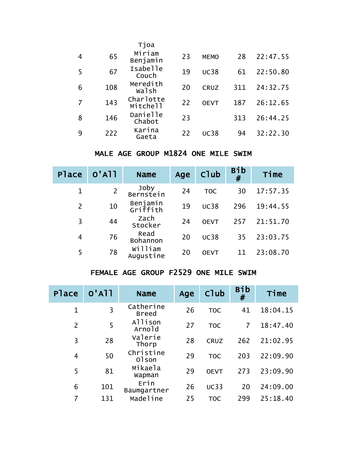|   |     | Tjoa                  |    |             |     |          |
|---|-----|-----------------------|----|-------------|-----|----------|
| 4 | 65  | Miriam<br>Benjamin    | 23 | <b>MEMO</b> | 28  | 22:47.55 |
| 5 | 67  | Isabelle<br>Couch     | 19 | <b>UC38</b> | 61  | 22:50.80 |
| 6 | 108 | Meredith<br>walsh     | 20 | <b>CRUZ</b> | 311 | 24:32.75 |
|   | 143 | Charlotte<br>Mitchell | 22 | <b>OEVT</b> | 187 | 26:12.65 |
| 8 | 146 | Danielle<br>Chabot    | 23 |             | 313 | 26:44.25 |
| 9 | 222 | Karina<br>Gaeta       | 22 | <b>UC38</b> | 94  | 32:22.30 |

# MALE AGE GROUP M1824 ONE MILE SWIM

| <b>Place</b>   | $O'$ A $11$    | <b>Name</b>          | Age | Club        | <b>Bib</b><br># | Time     |
|----------------|----------------|----------------------|-----|-------------|-----------------|----------|
| $\mathbf 1$    | $\overline{2}$ | Joby<br>Bernstein    | 24  | <b>TOC</b>  | 30              | 17:57.35 |
| $\overline{2}$ | 10             | Benjamin<br>Griffith | 19  | <b>UC38</b> | 296             | 19:44.55 |
| 3              | 44             | zach<br>stocker      | 24  | <b>OEVT</b> | 257             | 21:51.70 |
| 4              | 76             | Read<br>Bohannon     | 20  | <b>UC38</b> | 35              | 23:03.75 |
| 5              | 78             | William<br>Augustine | 20  | <b>OEVT</b> |                 | 23:08.70 |

# FEMALE AGE GROUP F2529 ONE MILE SWIM

| <b>Place</b>   | $O'$ A $11$ | <b>Name</b>               | Age | Club        | Bib<br># | Time     |
|----------------|-------------|---------------------------|-----|-------------|----------|----------|
| 1              | 3           | Catherine<br><b>Breed</b> | 26  | <b>TOC</b>  | 41       | 18:04.15 |
| $\overline{2}$ | 5           | Allison<br>Arnold         | 27  | <b>TOC</b>  | 7        | 18:47.40 |
| 3              | 28          | Valerie<br>Thorp          | 28  | <b>CRUZ</b> | 262      | 21:02.95 |
| 4              | 50          | Christine<br>01son        | 29  | <b>TOC</b>  | 203      | 22:09.90 |
| 5              | 81          | Mikaela<br>Wapman         | 29  | <b>OEVT</b> | 273      | 23:09.90 |
| 6              | 101         | Erin<br>Baumgartner       | 26  | <b>UC33</b> | 20       | 24:09.00 |
| 7              | 131         | Madeline                  | 25  | <b>TOC</b>  | 299      | 25:18.40 |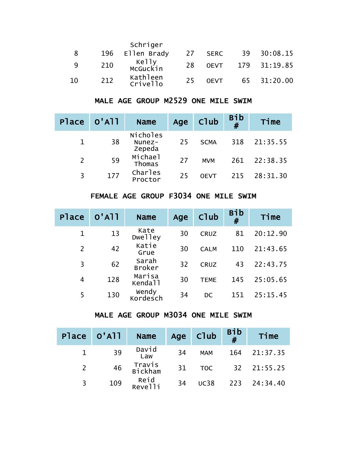|     |     | Schriger             |    |             |    |              |
|-----|-----|----------------------|----|-------------|----|--------------|
| 8   | 196 | Ellen Brady          | 27 | <b>SERC</b> | 39 | 30:08.15     |
| - Q | 210 | Kelly<br>McGuckin    | 28 | <b>OEVT</b> |    | 179 31:19.85 |
| 10  | 212 | Kathleen<br>Crivello | 25 | <b>OEVT</b> |    | 65 31:20.00  |

# MALE AGE GROUP M2529 ONE MILE SWIM

| Place 0'All |     | <b>Name</b>                  | Age | Club        | Bib<br># | Time     |
|-------------|-----|------------------------------|-----|-------------|----------|----------|
|             | 38  | Nicholes<br>Nunez-<br>Zepeda | 25  | <b>SCMA</b> | 318      | 21:35.55 |
|             | 59  | Michael<br>Thomas            | 27  | <b>MVM</b>  | 261      | 22:38.35 |
| 3           | 177 | Charles<br>Proctor           | 25  | <b>OFVT</b> | 215      | 28:31.30 |

# FEMALE AGE GROUP F3034 ONE MILE SWIM

| <b>Place</b> | $O'$ A $11$ | <b>Name</b>                   | Age | Club        | <b>Bib</b><br># | Time     |
|--------------|-------------|-------------------------------|-----|-------------|-----------------|----------|
| $\mathbf 1$  | 13          | Kate<br><b>Dwelley</b>        | 30  | <b>CRUZ</b> | 81              | 20:12.90 |
| 2            | 42          | Katie<br>Grue                 | 30  | <b>CALM</b> | 110             | 21:43.65 |
| 3            | 62          | Sarah<br><b>Broker</b>        | 32  | <b>CRUZ</b> | 43              | 22:43.75 |
| 4            | 128         | Marisa<br>Kenda <sup>11</sup> | 30  | <b>TEME</b> | 145             | 25:05.65 |
| 5            | 130         | Wendy<br>Kordesch             | 34  | DC.         | 151             | 25:15.45 |

### MALE AGE GROUP M3034 ONE MILE SWIM

|                | Place 0'All | <b>Name</b>       |    | Age Club    | Bib<br># | Time         |
|----------------|-------------|-------------------|----|-------------|----------|--------------|
|                | 39          | David<br>Law      | 34 | <b>MAM</b>  | 164      | 21:37.35     |
| $\overline{2}$ | 46          | Travis<br>Bickham | 31 | <b>TOC</b>  |          | 32 21:55.25  |
| 3              | 109         | Reid<br>Revelli   | 34 | <b>UC38</b> |          | 223 24:34.40 |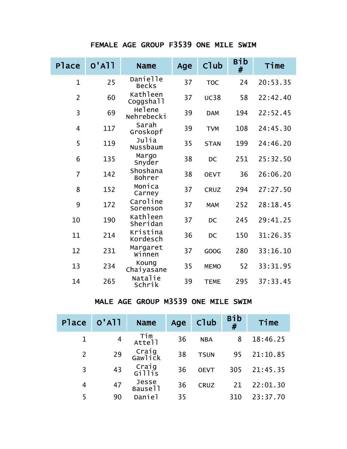# FEMALE AGE GROUP F3539 ONE MILE SWIM

| Place          | $O'$ A $11$ | <b>Name</b>              | Age | Club        | <b>Bib</b><br># | Time     |
|----------------|-------------|--------------------------|-----|-------------|-----------------|----------|
| $\mathbf 1$    | 25          | Danielle<br><b>Becks</b> | 37  | <b>TOC</b>  | 24              | 20:53.35 |
| $\overline{2}$ | 60          | Kathleen<br>Coggshall    | 37  | <b>UC38</b> | 58              | 22:42.40 |
| 3              | 69          | Helene<br>Nehrebecki     | 39  | <b>DAM</b>  | 194             | 22:52.45 |
| $\overline{4}$ | 117         | Sarah<br>Groskopf        | 39  | <b>TVM</b>  | 108             | 24:45.30 |
| 5              | 119         | Julia<br>Nussbaum        | 35  | <b>STAN</b> | 199             | 24:46.20 |
| 6              | 135         | Margo<br>Snyder          | 38  | <b>DC</b>   | 251             | 25:32.50 |
| $\overline{7}$ | 142         | Shoshana<br>Bohrer       | 38  | <b>OEVT</b> | 36              | 26:06.20 |
| 8              | 152         | Monica<br>Carney         | 37  | <b>CRUZ</b> | 294             | 27:27.50 |
| 9              | 172         | Caroline<br>Sorenson     | 37  | <b>MAM</b>  | 252             | 28:18.45 |
| 10             | 190         | Kathleen<br>Sheridan     | 37  | <b>DC</b>   | 245             | 29:41.25 |
| 11             | 214         | Kristina<br>Kordesch     | 36  | <b>DC</b>   | 150             | 31:26.35 |
| 12             | 231         | Margaret<br>Winnen       | 37  | GOOG        | 280             | 33:16.10 |
| 13             | 234         | Koung<br>Chaiyasane      | 35  | <b>MEMO</b> | 52              | 33:31.95 |
| 14             | 265         | Natalie<br>Schrik        | 39  | <b>TEME</b> | 295             | 37:33.45 |

# MALE AGE GROUP M3539 ONE MILE SWIM

| <b>Place</b>   | $O'$ A <sub>11</sub> | <b>Name</b>      | Age | Club        | <b>Bib</b><br># | Time     |
|----------------|----------------------|------------------|-----|-------------|-----------------|----------|
| $\mathbf 1$    | 4                    | Tim<br>Attell    | 36  | <b>NBA</b>  | 8               | 18:46.25 |
| $\overline{2}$ | 29                   | Craig<br>Gawlick | 38  | <b>TSUN</b> | 95              | 21:10.85 |
| 3              | 43                   | Craig<br>Gillis  | 36  | <b>OEVT</b> | 305             | 21:45.35 |
| 4              | 47                   | Jesse<br>Bause11 | 36  | <b>CRUZ</b> | 21              | 22:01.30 |
| 5              | 90                   | Daniel           | 35  |             | 310             | 23:37.70 |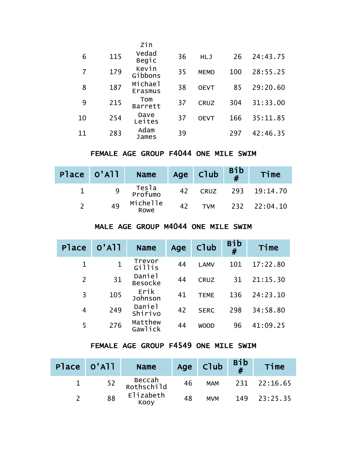|    |     | Zin                   |    |             |     |          |
|----|-----|-----------------------|----|-------------|-----|----------|
| 6  | 115 | Vedad<br><b>Begic</b> | 36 | <b>HLJ</b>  | 26  | 24:43.75 |
| 7  | 179 | Kevin<br>Gibbons      | 35 | <b>MEMO</b> | 100 | 28:55.25 |
| 8  | 187 | Michael<br>Erasmus    | 38 | <b>OEVT</b> | 85  | 29:20.60 |
| 9  | 215 | Tom<br><b>Barrett</b> | 37 | <b>CRUZ</b> | 304 | 31:33.00 |
| 10 | 254 | Dave<br>Leites        | 37 | <b>OEVT</b> | 166 | 35:11.85 |
| 11 | 283 | Adam<br>James         | 39 |             | 297 | 42:46.35 |

### FEMALE AGE GROUP F4044 ONE MILE SWIM

| Place 0'All | <b>Name</b>      |    | Age $\bigcap_{\#}$ $\bigcap_{\#}$ | Time         |
|-------------|------------------|----|-----------------------------------|--------------|
|             | Tesla<br>Profumo | 42 | <b>CRUZ</b>                       | 293 19:14.70 |
| 49          | Michelle<br>Rowe | 42 | <b>TVM</b>                        | 232 22:04.10 |

# MALE AGE GROUP M4044 ONE MILE SWIM

| <b>P</b> lace  | $O'$ A $11$  | <b>Name</b>              | Age | Club        | <b>Bib</b><br># | Time     |
|----------------|--------------|--------------------------|-----|-------------|-----------------|----------|
| $\mathbf 1$    | $\mathbf{1}$ | Trevor<br>G11115         | 44  | <b>LAMV</b> | 101             | 17:22.80 |
| $\overline{2}$ | 31           | Daniel<br><b>Besocke</b> | 44  | <b>CRUZ</b> | 31              | 21:15.30 |
| 3              | 105          | Erik<br>Johnson          | 41  | <b>TEME</b> | 136             | 24:23.10 |
| 4              | 249          | Daniel<br>Shirivo        | 42  | <b>SERC</b> | 298             | 34:58.80 |
| 5              | 276          | Matthew<br>Gawlick       | 44  | <b>WOOD</b> | 96              | 41:09.25 |

### FEMALE AGE GROUP F4549 ONE MILE SWIM

| Place 0'All | <b>Name</b>          |    | Age   Club | $\frac{B}{H}$ | Time         |
|-------------|----------------------|----|------------|---------------|--------------|
| 52          | Beccah<br>Rothschild | 46 | MAM        |               | 231 22:16.65 |
| 88          | Elizabeth<br>Kooy    | 48 | <b>MVM</b> |               | 149 23:25.35 |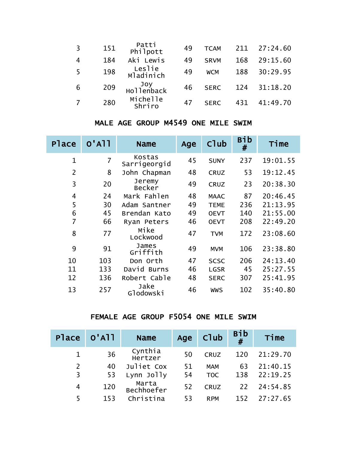| $\overline{3}$ | 151 | Patti<br>Philpott   | 49 | <b>TCAM</b> | 211 | 27:24.60 |
|----------------|-----|---------------------|----|-------------|-----|----------|
|                | 184 | Aki Lewis           | 49 | <b>SRVM</b> | 168 | 29:15.60 |
| 5              | 198 | Leslie<br>Mladinich | 49 | <b>WCM</b>  | 188 | 30:29.95 |
| 6              | 209 | Joy<br>Hollenback   | 46 | <b>SERC</b> | 124 | 31:18.20 |
|                | 280 | Michelle<br>Shriro  | 47 | <b>SERC</b> | 431 | 41:49.70 |

# MALE AGE GROUP M4549 ONE MILE SWIM

| Place          | $O'$ A $11$ | <b>Name</b>            | Age | <b>C</b> lub | Bib<br># | Time     |
|----------------|-------------|------------------------|-----|--------------|----------|----------|
| $\mathbf{1}$   | 7           | Kostas<br>Sarrigeorgid | 45  | <b>SUNY</b>  | 237      | 19:01.55 |
| $\overline{2}$ | 8           | John Chapman           | 48  | <b>CRUZ</b>  | 53       | 19:12.45 |
| 3              | 20          | Jeremy<br>Becker       | 49  | <b>CRUZ</b>  | 23       | 20:38.30 |
| 4              | 24          | Mark Fahlen            | 48  | <b>MAAC</b>  | 87       | 20:46.45 |
| 5              | 30          | Adam Santner           | 49  | <b>TEME</b>  | 236      | 21:13.95 |
| 6              | 45          | Brendan Kato           | 49  | <b>OEVT</b>  | 140      | 21:55.00 |
| 7              | 66          | Ryan Peters            | 46  | <b>OEVT</b>  | 208      | 22:49.20 |
| 8              | 77          | Mike<br>Lockwood       | 47  | <b>TVM</b>   | 172      | 23:08.60 |
| 9              | 91          | James<br>Griffith      | 49  | <b>MVM</b>   | 106      | 23:38.80 |
| 10             | 103         | Don Orth               | 47  | <b>SCSC</b>  | 206      | 24:13.40 |
| 11             | 133         | David Burns            | 46  | <b>LGSR</b>  | 45       | 25:27.55 |
| 12             | 136         | Robert Cable           | 48  | <b>SERC</b>  | 307      | 25:41.95 |
| 13             | 257         | Jake<br>Glodowski      | 46  | <b>WWS</b>   | 102      | 35:40.80 |

# FEMALE AGE GROUP F5054 ONE MILE SWIM

| Place 0'All    |     | <b>Name</b>         | Age | Club        | <b>Bib</b><br># | Time     |
|----------------|-----|---------------------|-----|-------------|-----------------|----------|
|                | 36  | Cynthia<br>Hertzer  | 50  | <b>CRUZ</b> | 120             | 21:29.70 |
| $\overline{2}$ | 40  | Juliet Cox          | 51  | <b>MAM</b>  | 63              | 21:40.15 |
| 3              | 53  | Lynn Jolly          | 54  | <b>TOC</b>  | 138             | 22:19.25 |
| 4              | 120 | Marta<br>Bechhoefer | 52  | <b>CRUZ</b> | 22              | 24:54.85 |
| 5              | 153 | Christina           | 53  | <b>RPM</b>  | 152             | 27:27.65 |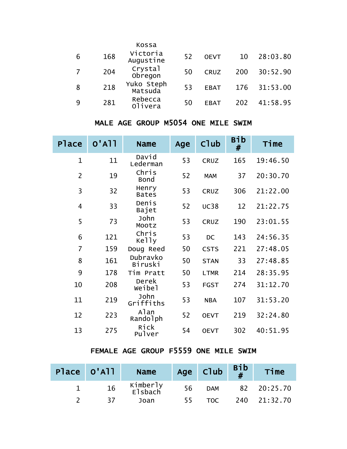|     | Kossa                 |    |             |     |          |
|-----|-----------------------|----|-------------|-----|----------|
| 168 | Victoria<br>Augustine | 52 | <b>OEVT</b> | 10  | 28:03.80 |
| 204 | Crystal<br>Obregon    | 50 | <b>CRUZ</b> | 200 | 30:52.90 |
| 218 | Yuko Steph<br>Matsuda | 53 | <b>EBAT</b> | 176 | 31:53.00 |
| 281 | Rebecca<br>Olivera    | 50 | <b>EBAT</b> | 202 | 41:58.95 |
|     |                       |    |             |     |          |

# MALE AGE GROUP M5054 ONE MILE SWIM

| Place          | $O'$ A $11$ | <b>Name</b>           | Age | Club        | Bib<br># | Time     |
|----------------|-------------|-----------------------|-----|-------------|----------|----------|
| $\mathbf 1$    | 11          | David<br>Lederman     | 53  | CRUZ        | 165      | 19:46.50 |
| $\overline{2}$ | 19          | Chris<br><b>Bond</b>  | 52  | <b>MAM</b>  | 37       | 20:30.70 |
| 3              | 32          | Henry<br><b>Bates</b> | 53  | <b>CRUZ</b> | 306      | 21:22.00 |
| $\overline{4}$ | 33          | Denis<br>Bajet        | 52  | <b>UC38</b> | 12       | 21:22.75 |
| 5              | 73          | John<br>Mootz         | 53  | <b>CRUZ</b> | 190      | 23:01.55 |
| 6              | 121         | Chris<br>Kelly        | 53  | DC          | 143      | 24:56.35 |
| $\overline{7}$ | 159         | Doug Reed             | 50  | <b>CSTS</b> | 221      | 27:48.05 |
| 8              | 161         | Dubravko<br>Biruski   | 50  | <b>STAN</b> | 33       | 27:48.85 |
| 9              | 178         | Tim Pratt             | 50  | <b>LTMR</b> | 214      | 28:35.95 |
| 10             | 208         | Derek<br>Weibel       | 53  | <b>FGST</b> | 274      | 31:12.70 |
| 11             | 219         | John<br>Griffiths     | 53  | <b>NBA</b>  | 107      | 31:53.20 |
| 12             | 223         | Alan<br>Randolph      | 52  | <b>OEVT</b> | 219      | 32:24.80 |
| 13             | 275         | Rick<br>Pulver        | 54  | <b>OEVT</b> | 302      | 40:51.95 |

#### FEMALE AGE GROUP F5559 ONE MILE SWIM

| Place 0'All | <b>Name</b>         |     | Age Club   | $\begin{array}{c} \text{Bib} \\ \text{#} \end{array}$ | Time         |
|-------------|---------------------|-----|------------|-------------------------------------------------------|--------------|
| 16          | Kimberly<br>Elsbach | 56  | <b>DAM</b> |                                                       | 82 20:25.70  |
| -37         | Joan                | 55. | TOC.       |                                                       | 240 21:32.70 |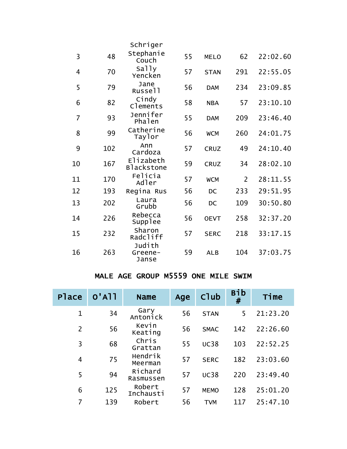|                |     | Schriger                       |    |             |                |          |
|----------------|-----|--------------------------------|----|-------------|----------------|----------|
| 3              | 48  | Stephanie<br>Couch             | 55 | <b>MELO</b> | 62             | 22:02.60 |
| 4              | 70  | Sally<br>Yencken               | 57 | <b>STAN</b> | 291            | 22:55.05 |
| 5              | 79  | Jane<br>Russell                | 56 | <b>DAM</b>  | 234            | 23:09.85 |
| 6              | 82  | Cindy<br>Clements              | 58 | <b>NBA</b>  | 57             | 23:10.10 |
| $\overline{7}$ | 93  | Jennifer<br>Phalen             | 55 | <b>DAM</b>  | 209            | 23:46.40 |
| 8              | 99  | Catherine<br>Taylor            | 56 | <b>WCM</b>  | 260            | 24:01.75 |
| 9              | 102 | Ann<br>Cardoza                 | 57 | <b>CRUZ</b> | 49             | 24:10.40 |
| 10             | 167 | Elizabeth<br><b>Blackstone</b> | 59 | <b>CRUZ</b> | 34             | 28:02.10 |
| 11             | 170 | Felicia<br>Adler               | 57 | <b>WCM</b>  | $\overline{2}$ | 28:11.55 |
| 12             | 193 | Regina Rus                     | 56 | <b>DC</b>   | 233            | 29:51.95 |
| 13             | 202 | Laura<br>Grubb                 | 56 | <b>DC</b>   | 109            | 30:50.80 |
| 14             | 226 | Rebecca<br>Supplee             | 56 | <b>OEVT</b> | 258            | 32:37.20 |
| 15             | 232 | Sharon<br>Radcliff             | 57 | <b>SERC</b> | 218            | 33:17.15 |
| 16             | 263 | Judith<br>Greene-<br>Janse     | 59 | <b>ALB</b>  | 104            | 37:03.75 |

#### MALE AGE GROUP M5559 ONE MILE SWIM

| Place       | $O'$ A $11$ | <b>Name</b>          | Age | Club        | Bib<br># | Time     |
|-------------|-------------|----------------------|-----|-------------|----------|----------|
| $\mathbf 1$ | 34          | Gary<br>Antonick     | 56  | <b>STAN</b> | 5        | 21:23.20 |
| 2           | 56          | Kevin<br>Keating     | 56  | <b>SMAC</b> | 142      | 22:26.60 |
| 3           | 68          | Chris<br>Grattan     | 55  | <b>UC38</b> | 103      | 22:52.25 |
| 4           | 75          | Hendrik<br>Meerman   | 57  | <b>SERC</b> | 182      | 23:03.60 |
| 5           | 94          | Richard<br>Rasmussen | 57  | <b>UC38</b> | 220      | 23:49.40 |
| 6           | 125         | Robert<br>Inchausti  | 57  | <b>MEMO</b> | 128      | 25:01.20 |
| 7           | 139         | Robert               | 56  | TVM         | 117      | 25:47.10 |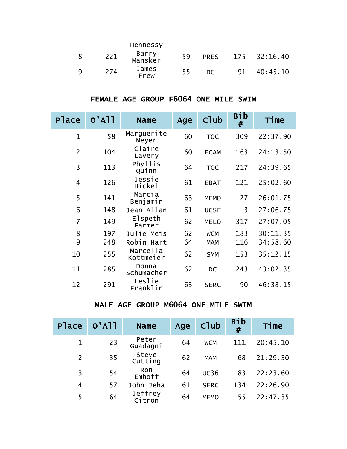|     |     | Hennessy         |    |             |    |              |
|-----|-----|------------------|----|-------------|----|--------------|
| 8   | 221 | Barry<br>Mansker | 59 | <b>PRES</b> |    | 175 32:16.40 |
| - Q | 274 | James<br>Frew    | 55 | DC.         | 91 | 40:45.10     |

# FEMALE AGE GROUP F6064 ONE MILE SWIM

| Place          | $O'$ A $11$ | <b>Name</b>           | Age | Club        | <b>Bib</b><br># | Time     |
|----------------|-------------|-----------------------|-----|-------------|-----------------|----------|
| $\mathbf{1}$   | 58          | Marguerite<br>Meyer   | 60  | <b>TOC</b>  | 309             | 22:37.90 |
| $\overline{2}$ | 104         | Claire<br>Lavery      | 60  | <b>ECAM</b> | 163             | 24:13.50 |
| 3              | 113         | Phyllis<br>Quinn      | 64  | <b>TOC</b>  | 217             | 24:39.65 |
| $\overline{4}$ | 126         | Jessie<br>Hickel      | 61  | <b>EBAT</b> | 121             | 25:02.60 |
| 5              | 141         | Marcia<br>Benjamin    | 63  | <b>MEMO</b> | 27              | 26:01.75 |
| 6              | 148         | Jean Allan            | 61  | <b>UCSF</b> | 3               | 27:06.75 |
| $\overline{7}$ | 149         | Elspeth<br>Farmer     | 62  | <b>MELO</b> | 317             | 27:07.05 |
| 8              | 197         | Julie Meis            | 62  | <b>WCM</b>  | 183             | 30:11.35 |
| 9              | 248         | Robin Hart            | 64  | <b>MAM</b>  | 116             | 34:58.60 |
| 10             | 255         | Marcella<br>Kottmeier | 62  | <b>SMM</b>  | 153             | 35:12.15 |
| 11             | 285         | Donna<br>Schumacher   | 62  | <b>DC</b>   | 243             | 43:02.35 |
| 12             | 291         | Leslie<br>Franklin    | 63  | <b>SERC</b> | 90              | 46:38.15 |

# MALE AGE GROUP M6064 ONE MILE SWIM

| <b>Place</b>   | $O'$ A $11$ | <b>Name</b>       | Age | Club        | <b>Bib</b><br># | Time     |
|----------------|-------------|-------------------|-----|-------------|-----------------|----------|
| $\mathbf 1$    | 23          | Peter<br>Guadagni | 64  | <b>WCM</b>  | 111             | 20:45.10 |
| $\overline{2}$ | 35          | Steve<br>Cutting  | 62  | <b>MAM</b>  | 68              | 21:29.30 |
| 3              | 54          | Ron<br>Emhoff     | 64  | <b>UC36</b> | 83              | 22:23.60 |
| 4              | 57          | John Jeha         | 61  | <b>SERC</b> | 134             | 22:26.90 |
| 5              | 64          | Jeffrey<br>Citron | 64  | <b>MEMO</b> | 55              | 22:47.35 |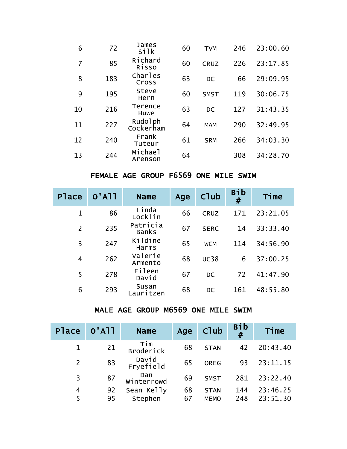| 6  | 72  | James<br>si <sub>1k</sub> | 60 | <b>TVM</b>  | 246 | 23:00.60 |
|----|-----|---------------------------|----|-------------|-----|----------|
| 7  | 85  | Richard<br>Risso          | 60 | <b>CRUZ</b> | 226 | 23:17.85 |
| 8  | 183 | Charles<br>Cross          | 63 | DC          | 66  | 29:09.95 |
| 9  | 195 | Steve<br>Hern             | 60 | <b>SMST</b> | 119 | 30:06.75 |
| 10 | 216 | Terence<br>Huwe           | 63 | DC          | 127 | 31:43.35 |
| 11 | 227 | Rudolph<br>Cockerham      | 64 | <b>MAM</b>  | 290 | 32:49.95 |
| 12 | 240 | Frank<br>Tuteur           | 61 | <b>SRM</b>  | 266 | 34:03.30 |
| 13 | 244 | Michael<br>Arenson        | 64 |             | 308 | 34:28.70 |

## FEMALE AGE GROUP F6569 ONE MILE SWIM

| <b>Place</b>   | $O'$ A $11$ | <b>Name</b>              | Age | Club        | Bib<br># | Time     |
|----------------|-------------|--------------------------|-----|-------------|----------|----------|
| 1              | 86          | Linda<br>Locklin         | 66  | <b>CRUZ</b> | 171      | 23:21.05 |
| 2              | 235         | Patricia<br><b>Banks</b> | 67  | <b>SERC</b> | 14       | 33:33.40 |
| 3              | 247         | Kildine<br>Harms         | 65  | <b>WCM</b>  | 114      | 34:56.90 |
| $\overline{4}$ | 262         | Valerie<br>Armento       | 68  | <b>UC38</b> | 6        | 37:00.25 |
| 5              | 278         | Eileen<br>David          | 67  | <b>DC</b>   | 72       | 41:47.90 |
| 6              | 293         | Susan<br>auritzen.       | 68  | <b>DC</b>   | 161      | 48:55.80 |

### MALE AGE GROUP M6569 ONE MILE SWIM

| <b>Place</b>   | $O'$ A $11$ | <b>Name</b>        | Age | Club        | <b>Bib</b><br># | Time     |
|----------------|-------------|--------------------|-----|-------------|-----------------|----------|
|                | 21          | Tim<br>Broderick   | 68  | <b>STAN</b> | 42              | 20:43.40 |
| $\overline{2}$ | 83          | David<br>Fryefield | 65  | <b>OREG</b> | 93              | 23:11.15 |
| 3              | 87          | Dan<br>Winterrowd  | 69  | <b>SMST</b> | 281             | 23:22.40 |
| 4              | 92          | Sean Kelly         | 68  | <b>STAN</b> | 144             | 23:46.25 |
| 5              | 95          | Stephen            | 67  | <b>MEMO</b> | 248             | 23:51.30 |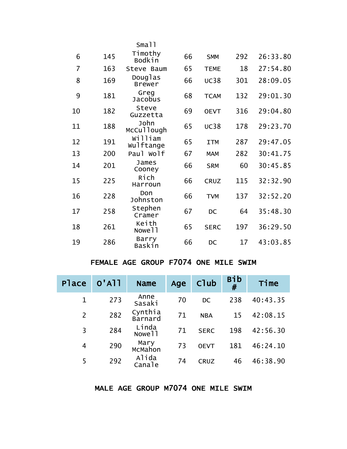|    |     | Small                       |    |             |     |          |
|----|-----|-----------------------------|----|-------------|-----|----------|
| 6  | 145 | Timothy<br><b>Bodkin</b>    | 66 | <b>SMM</b>  | 292 | 26:33.80 |
| 7  | 163 | Steve Baum                  | 65 | <b>TEME</b> | 18  | 27:54.80 |
| 8  | 169 | Douglas<br><b>Brewer</b>    | 66 | <b>UC38</b> | 301 | 28:09.05 |
| 9  | 181 | Greg<br><b>Jacobus</b>      | 68 | <b>TCAM</b> | 132 | 29:01.30 |
| 10 | 182 | Steve<br>Guzzetta           | 69 | <b>OEVT</b> | 316 | 29:04.80 |
| 11 | 188 | John<br>McCullough          | 65 | <b>UC38</b> | 178 | 29:23.70 |
| 12 | 191 | William<br>Wulftange        | 65 | <b>ITM</b>  | 287 | 29:47.05 |
| 13 | 200 | Paul Wolf                   | 67 | <b>MAM</b>  | 282 | 30:41.75 |
| 14 | 201 | James<br>Cooney             | 66 | <b>SRM</b>  | 60  | 30:45.85 |
| 15 | 225 | Rich<br>Harroun             | 66 | <b>CRUZ</b> | 115 | 32:32.90 |
| 16 | 228 | Don<br>Johnston             | 66 | <b>TVM</b>  | 137 | 32:52.20 |
| 17 | 258 | Stephen<br>Cramer           | 67 | <b>DC</b>   | 64  | 35:48.30 |
| 18 | 261 | Keith<br>Nowe <sub>11</sub> | 65 | <b>SERC</b> | 197 | 36:29.50 |
| 19 | 286 | Barry<br>Baskin             | 66 | DC          | 17  | 43:03.85 |

# FEMALE AGE GROUP F7074 ONE MILE SWIM

| Place          | $O'$ A $11$ | <b>Name</b>                 | Age | Club        | <b>Bib</b><br># | Time     |
|----------------|-------------|-----------------------------|-----|-------------|-----------------|----------|
| $\mathbf 1$    | 273         | Anne<br>Sasaki              | 70  | <b>DC</b>   | 238             | 40:43.35 |
| $\overline{2}$ | 282         | Cynthia<br>Barnard          | 71  | <b>NBA</b>  | 15              | 42:08.15 |
| 3              | 284         | Linda<br>Nowe <sub>11</sub> | 71  | <b>SERC</b> | 198             | 42:56.30 |
| 4              | 290         | Mary<br>McMahon             | 73  | <b>OEVT</b> | 181             | 46:24.10 |
| 5              | 292         | Alida<br>Canale             | 74  | <b>CRUZ</b> | 46              | 46:38.90 |

#### MALE AGE GROUP M7074 ONE MILE SWIM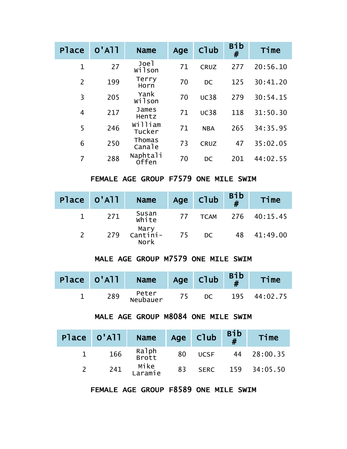| <b>P</b> lace  | $O'$ A <sub>11</sub> | <b>Name</b>              | Age | C <sub>1</sub> ub | <b>Bib</b><br># | Time     |
|----------------|----------------------|--------------------------|-----|-------------------|-----------------|----------|
| 1              | 27                   | Joel<br>wilson           | 71  | <b>CRUZ</b>       | 277             | 20:56.10 |
| $\overline{2}$ | 199                  | Terry<br>Horn            | 70  | DC                | 125             | 30:41.20 |
| 3              | 205                  | Yank<br>wilson           | 70  | <b>UC38</b>       | 279             | 30:54.15 |
| 4              | 217                  | James<br>Hentz           | 71  | <b>UC38</b>       | 118             | 31:50.30 |
| 5              | 246                  | William<br>Tucker        | 71  | <b>NBA</b>        | 265             | 34:35.95 |
| 6              | 250                  | Thomas<br>Canale         | 73  | <b>CRUZ</b>       | 47              | 35:02.05 |
| 7              | 288                  | Naphtali<br><b>offen</b> | 70  | DC                | 201             | 44:02.55 |

FEMALE AGE GROUP F7579 ONE MILE SWIM

| Place 0'All | <b>Name</b>               |    | Age Club  | $\frac{\text{Bib}}{\#}$ | Time              |
|-------------|---------------------------|----|-----------|-------------------------|-------------------|
| 271         | Susan<br>White            | 77 |           |                         | TCAM 276 40:15.45 |
| 279         | Mary<br>--Cantini<br>Nork | 75 | <b>DC</b> | 48                      | 41:49.00          |

### MALE AGE GROUP M7579 ONE MILE SWIM

| Place 0'All | <b>Name</b>       |    | Age Club | $Big_{\mu}$ | Time     |
|-------------|-------------------|----|----------|-------------|----------|
| 289         | Peter<br>Neubauer | 75 | DC.      | 195         | 44:02.75 |

# MALE AGE GROUP M8084 ONE MILE SWIM

| Place 0'All | <b>Name</b>     |    | Age Club    | $\begin{array}{c} \text{Bib} \\ \# \end{array}$ | Time         |
|-------------|-----------------|----|-------------|-------------------------------------------------|--------------|
| 166         | Ralph<br>Brott  | 80 | <b>UCSF</b> |                                                 | 44 28:00.35  |
| 241         | Mike<br>Laramie | 83 | <b>SERC</b> |                                                 | 159 34:05.50 |

FEMALE AGE GROUP F8589 ONE MILE SWIM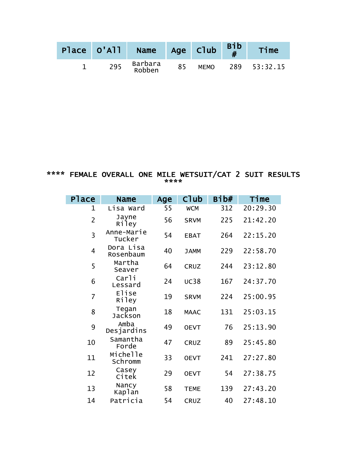| Place 0'All | Name Age Club     |    |             | $\begin{bmatrix} B_1^{\dagger}b \\ H \end{bmatrix}$ | Time         |
|-------------|-------------------|----|-------------|-----------------------------------------------------|--------------|
| 295         | Barbara<br>Robben | 85 | <b>MEMO</b> |                                                     | 289 53:32.15 |

#### \*\*\*\* FEMALE OVERALL ONE MILE WETSUIT/CAT 2 SUIT RESULTS \*\*\*\*

| <b>Place</b>   | <b>Name</b>            | Age | C <sub>1</sub> ub | Bib# | Time     |
|----------------|------------------------|-----|-------------------|------|----------|
| 1              | Lisa Ward              | 55  | <b>WCM</b>        | 312  | 20:29.30 |
| $\overline{2}$ | Jayne<br>Riley         | 56  | <b>SRVM</b>       | 225  | 21:42.20 |
| 3              | Anne-Marie<br>Tucker   | 54  | <b>EBAT</b>       | 264  | 22:15.20 |
| 4              | Dora Lisa<br>Rosenbaum | 40  | <b>JAMM</b>       | 229  | 22:58.70 |
| 5              | Martha<br>Seaver       | 64  | <b>CRUZ</b>       | 244  | 23:12.80 |
| 6              | Carli<br>Lessard       | 24  | <b>UC38</b>       | 167  | 24:37.70 |
| $\overline{7}$ | Elise<br>Riley         | 19  | <b>SRVM</b>       | 224  | 25:00.95 |
| 8              | Tegan<br>Jackson       | 18  | <b>MAAC</b>       | 131  | 25:03.15 |
| 9              | Amba<br>Desjardins     | 49  | <b>OEVT</b>       | 76   | 25:13.90 |
| 10             | Samantha<br>Forde      | 47  | <b>CRUZ</b>       | 89   | 25:45.80 |
| 11             | Michelle<br>Schromm    | 33  | <b>OEVT</b>       | 241  | 27:27.80 |
| 12             | Casey<br>Citek         | 29  | <b>OEVT</b>       | 54   | 27:38.75 |
| 13             | Nancy<br>Kaplan        | 58  | <b>TEME</b>       | 139  | 27:43.20 |
| 14             | Patricia               | 54  | <b>CRUZ</b>       | 40   | 27:48.10 |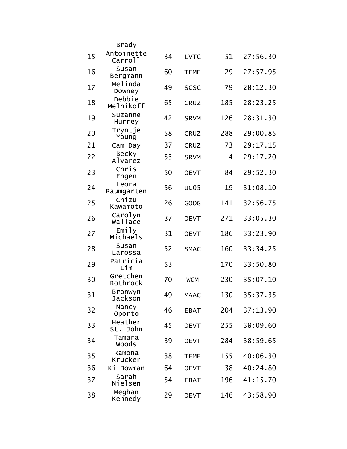|    | Brady                             |    |             |     |          |
|----|-----------------------------------|----|-------------|-----|----------|
| 15 | Antoinette<br>Carrol <sup>1</sup> | 34 | <b>LVTC</b> | 51  | 27:56.30 |
| 16 | Susan<br>Bergmann                 | 60 | <b>TEME</b> | 29  | 27:57.95 |
| 17 | Melinda<br>Downey                 | 49 | <b>SCSC</b> | 79  | 28:12.30 |
| 18 | Debbie<br>Melnikoff               | 65 | <b>CRUZ</b> | 185 | 28:23.25 |
| 19 | Suzanne<br>Hurrey                 | 42 | <b>SRVM</b> | 126 | 28:31.30 |
| 20 | Tryntje<br>Young                  | 58 | <b>CRUZ</b> | 288 | 29:00.85 |
| 21 | Cam Day                           | 37 | <b>CRUZ</b> | 73  | 29:17.15 |
| 22 | Becky<br>Alvarez                  | 53 | <b>SRVM</b> | 4   | 29:17.20 |
| 23 | Chris<br>Engen                    | 50 | <b>OEVT</b> | 84  | 29:52.30 |
| 24 | Leora<br>Baumgarten               | 56 | <b>UC05</b> | 19  | 31:08.10 |
| 25 | Chizu<br>Kawamoto                 | 26 | GOOG        | 141 | 32:56.75 |
| 26 | Carolyn<br>wallace                | 37 | <b>OEVT</b> | 271 | 33:05.30 |
| 27 | Emily<br>Michaels                 | 31 | <b>OEVT</b> | 186 | 33:23.90 |
| 28 | Susan<br>Larossa                  | 52 | <b>SMAC</b> | 160 | 33:34.25 |
| 29 | Patricia<br>Lim                   | 53 |             | 170 | 33:50.80 |
| 30 | Gretchen<br>Rothrock              | 70 | <b>WCM</b>  | 230 | 35:07.10 |
| 31 | <b>Bronwyn</b><br>Jackson         | 49 | <b>MAAC</b> | 130 | 35:37.35 |
| 32 | Nancy<br>Oporto                   | 46 | <b>EBAT</b> | 204 | 37:13.90 |
| 33 | Heather<br>St. John               | 45 | <b>OEVT</b> | 255 | 38:09.60 |
| 34 | Tamara<br><b>Woods</b>            | 39 | <b>OEVT</b> | 284 | 38:59.65 |
| 35 | Ramona<br>Krucker                 | 38 | <b>TEME</b> | 155 | 40:06.30 |
| 36 | Ki Bowman                         | 64 | <b>OEVT</b> | 38  | 40:24.80 |
| 37 | Sarah<br>Nielsen                  | 54 | <b>EBAT</b> | 196 | 41:15.70 |
| 38 | Meghan<br>Kennedy                 | 29 | <b>OEVT</b> | 146 | 43:58.90 |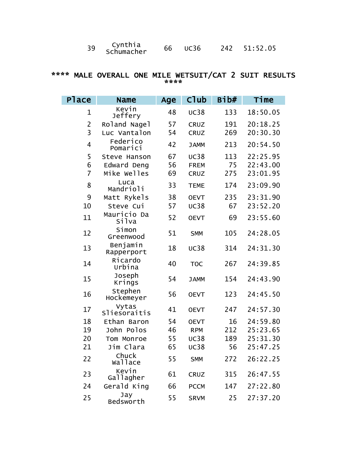| 39 | Cynthia<br>Schumacher | 66 - | UC36 |  | 242 51:52.05 |
|----|-----------------------|------|------|--|--------------|
|----|-----------------------|------|------|--|--------------|

#### \*\*\*\* MALE OVERALL ONE MILE WETSUIT/CAT 2 SUIT RESULTS \*\*\*\*

| Place          | <b>Name</b>             | Age | Club        | Bib# | Time     |
|----------------|-------------------------|-----|-------------|------|----------|
| 1              | Kevin<br>Jeffery        | 48  | <b>UC38</b> | 133  | 18:50.05 |
| $\overline{2}$ | Roland Nagel            | 57  | <b>CRUZ</b> | 191  | 20:18.25 |
| 3              | Luc Vantalon            | 54  | <b>CRUZ</b> | 269  | 20:30.30 |
| $\overline{4}$ | Federico<br>Pomarici    | 42  | <b>JAMM</b> | 213  | 20:54.50 |
| 5              | Steve Hanson            | 67  | <b>UC38</b> | 113  | 22:25.95 |
| 6              | Edward Deng             | 56  | <b>FREM</b> | 75   | 22:43.00 |
| $\overline{7}$ | Mike Welles             | 69  | <b>CRUZ</b> | 275  | 23:01.95 |
| 8              | Luca<br>Mandrioli       | 33  | <b>TEME</b> | 174  | 23:09.90 |
| 9              | Matt Rykels             | 38  | <b>OEVT</b> | 235  | 23:31.90 |
| 10             | Steve Cui               | 57  | <b>UC38</b> | 67   | 23:52.20 |
| 11             | Mauricio Da<br>Silva    | 52  | <b>OEVT</b> | 69   | 23:55.60 |
| 12             | Simon<br>Greenwood      | 51  | <b>SMM</b>  | 105  | 24:28.05 |
| 13             | Benjamin<br>Rapperport  | 18  | <b>UC38</b> | 314  | 24:31.30 |
| 14             | Ricardo<br>Urbina       | 40  | <b>TOC</b>  | 267  | 24:39.85 |
| 15             | Joseph<br>Krings        | 54  | <b>JAMM</b> | 154  | 24:43.90 |
| 16             | Stephen<br>Hockemeyer   | 56  | <b>OEVT</b> | 123  | 24:45.50 |
| 17             | Vytas<br>Sliesoraitis   | 41  | <b>OEVT</b> | 247  | 24:57.30 |
| 18             | Ethan Baron             | 54  | <b>OEVT</b> | 16   | 24:59.80 |
| 19             | John Polos              | 46  | <b>RPM</b>  | 212  | 25:23.65 |
| 20             | Tom Monroe              | 55  | <b>UC38</b> | 189  | 25:31.30 |
| 21             | Jim Clara               | 65  | <b>UC38</b> | 56   | 25:47.25 |
| 22             | Chuck<br><b>Wallace</b> | 55  | <b>SMM</b>  | 272  | 26:22.25 |
| 23             | Kevin<br>Gallagher      | 61  | <b>CRUZ</b> | 315  | 26:47.55 |
| 24             | Gerald King             | 66  | <b>PCCM</b> | 147  | 27:22.80 |
| 25             | Jay<br>Bedsworth        | 55  | <b>SRVM</b> | 25   | 27:37.20 |